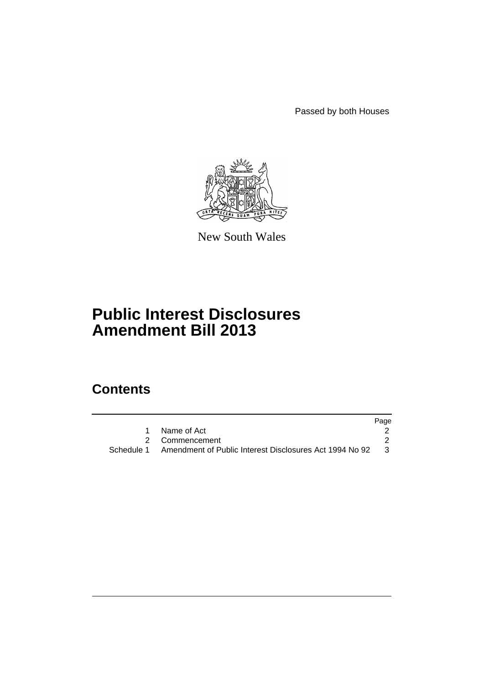Passed by both Houses



New South Wales

# **Public Interest Disclosures Amendment Bill 2013**

## **Contents**

|                                                                      | Page |
|----------------------------------------------------------------------|------|
| Name of Act                                                          |      |
| 2 Commencement                                                       |      |
| Schedule 1   Amendment of Public Interest Disclosures Act 1994 No 92 | - 3  |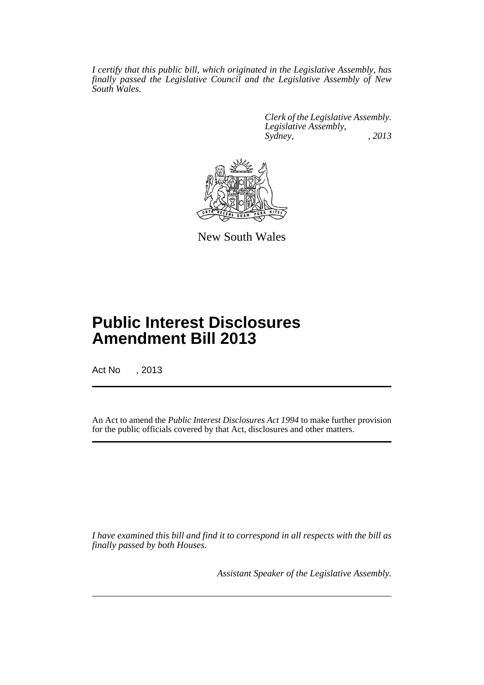*I certify that this public bill, which originated in the Legislative Assembly, has finally passed the Legislative Council and the Legislative Assembly of New South Wales.*

> *Clerk of the Legislative Assembly. Legislative Assembly, Sydney, , 2013*



New South Wales

## **Public Interest Disclosures Amendment Bill 2013**

Act No , 2013

An Act to amend the *Public Interest Disclosures Act 1994* to make further provision for the public officials covered by that Act, disclosures and other matters.

*I have examined this bill and find it to correspond in all respects with the bill as finally passed by both Houses.*

*Assistant Speaker of the Legislative Assembly.*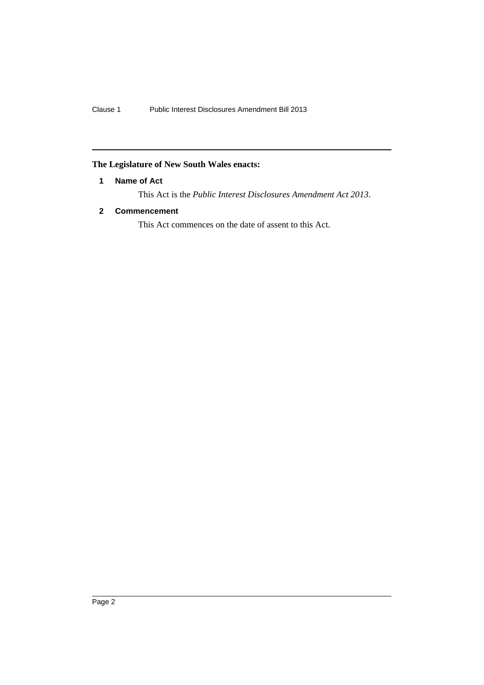### <span id="page-3-0"></span>**The Legislature of New South Wales enacts:**

#### **1 Name of Act**

This Act is the *Public Interest Disclosures Amendment Act 2013*.

#### <span id="page-3-1"></span>**2 Commencement**

This Act commences on the date of assent to this Act.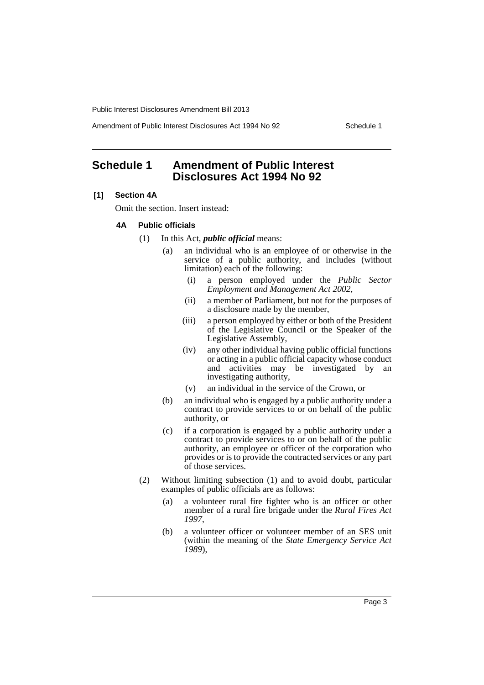Public Interest Disclosures Amendment Bill 2013

Amendment of Public Interest Disclosures Act 1994 No 92 Schedule 1

## <span id="page-4-0"></span>**Schedule 1 Amendment of Public Interest Disclosures Act 1994 No 92**

#### **[1] Section 4A**

Omit the section. Insert instead:

#### **4A Public officials**

- (1) In this Act, *public official* means:
	- (a) an individual who is an employee of or otherwise in the service of a public authority, and includes (without limitation) each of the following:
		- (i) a person employed under the *Public Sector Employment and Management Act 2002*,
		- (ii) a member of Parliament, but not for the purposes of a disclosure made by the member,
		- (iii) a person employed by either or both of the President of the Legislative Council or the Speaker of the Legislative Assembly,
		- (iv) any other individual having public official functions or acting in a public official capacity whose conduct and activities may be investigated by an investigating authority,
		- (v) an individual in the service of the Crown, or
	- (b) an individual who is engaged by a public authority under a contract to provide services to or on behalf of the public authority, or
	- (c) if a corporation is engaged by a public authority under a contract to provide services to or on behalf of the public authority, an employee or officer of the corporation who provides or is to provide the contracted services or any part of those services.
- (2) Without limiting subsection (1) and to avoid doubt, particular examples of public officials are as follows:
	- (a) a volunteer rural fire fighter who is an officer or other member of a rural fire brigade under the *Rural Fires Act 1997*,
	- (b) a volunteer officer or volunteer member of an SES unit (within the meaning of the *State Emergency Service Act 1989*),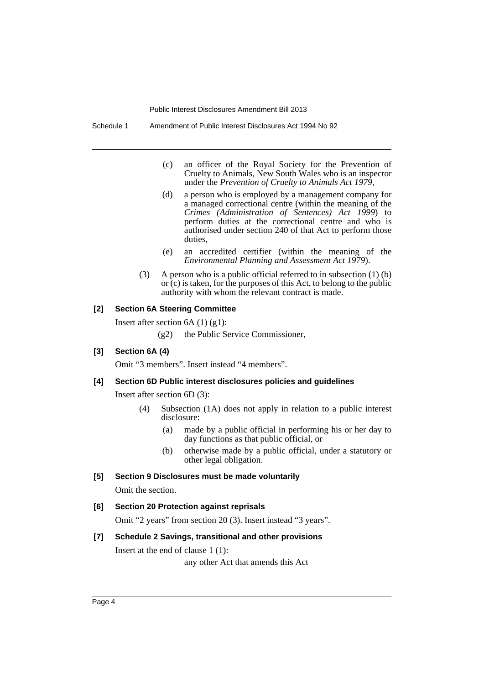Public Interest Disclosures Amendment Bill 2013

- (c) an officer of the Royal Society for the Prevention of Cruelty to Animals, New South Wales who is an inspector under the *Prevention of Cruelty to Animals Act 1979*,
- (d) a person who is employed by a management company for a managed correctional centre (within the meaning of the *Crimes (Administration of Sentences) Act 1999*) to perform duties at the correctional centre and who is authorised under section 240 of that Act to perform those duties,
- (e) an accredited certifier (within the meaning of the *Environmental Planning and Assessment Act 1979*).
- (3) A person who is a public official referred to in subsection (1) (b) or (c) is taken, for the purposes of this Act, to belong to the public authority with whom the relevant contract is made.

#### **[2] Section 6A Steering Committee**

Insert after section 6A (1) (g1):

(g2) the Public Service Commissioner,

#### **[3] Section 6A (4)**

Omit "3 members". Insert instead "4 members".

#### **[4] Section 6D Public interest disclosures policies and guidelines**

Insert after section 6D (3):

- (4) Subsection (1A) does not apply in relation to a public interest disclosure:
	- (a) made by a public official in performing his or her day to day functions as that public official, or
	- (b) otherwise made by a public official, under a statutory or other legal obligation.

#### **[5] Section 9 Disclosures must be made voluntarily**

Omit the section.

**[6] Section 20 Protection against reprisals**

Omit "2 years" from section 20 (3). Insert instead "3 years".

#### **[7] Schedule 2 Savings, transitional and other provisions**

Insert at the end of clause 1 (1):

any other Act that amends this Act